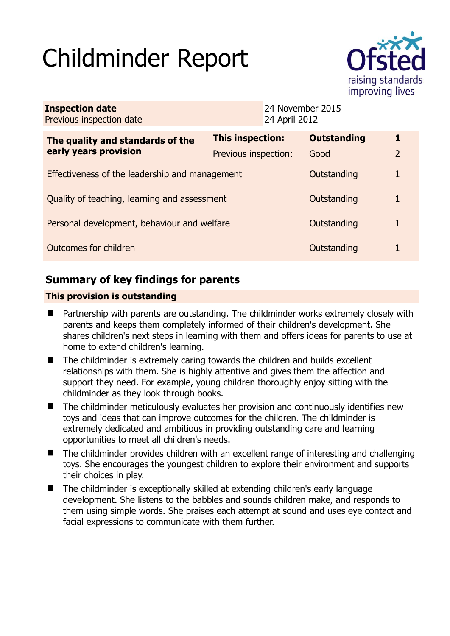# Childminder Report



| <b>Inspection date</b><br>Previous inspection date        | 24 April 2012        | 24 November 2015   |                |
|-----------------------------------------------------------|----------------------|--------------------|----------------|
| The quality and standards of the<br>early years provision | This inspection:     | <b>Outstanding</b> | 1              |
|                                                           | Previous inspection: | Good               | $\overline{2}$ |
| Effectiveness of the leadership and management            |                      | Outstanding        |                |
| Quality of teaching, learning and assessment              |                      | Outstanding        | 1              |
| Personal development, behaviour and welfare               |                      | Outstanding        |                |
| Outcomes for children                                     |                      | Outstanding        |                |

# **Summary of key findings for parents**

## **This provision is outstanding**

- Partnership with parents are outstanding. The childminder works extremely closely with parents and keeps them completely informed of their children's development. She shares children's next steps in learning with them and offers ideas for parents to use at home to extend children's learning.
- The childminder is extremely caring towards the children and builds excellent relationships with them. She is highly attentive and gives them the affection and support they need. For example, young children thoroughly enjoy sitting with the childminder as they look through books.
- The childminder meticulously evaluates her provision and continuously identifies new toys and ideas that can improve outcomes for the children. The childminder is extremely dedicated and ambitious in providing outstanding care and learning opportunities to meet all children's needs.
- The childminder provides children with an excellent range of interesting and challenging toys. She encourages the youngest children to explore their environment and supports their choices in play.
- The childminder is exceptionally skilled at extending children's early language development. She listens to the babbles and sounds children make, and responds to them using simple words. She praises each attempt at sound and uses eye contact and facial expressions to communicate with them further.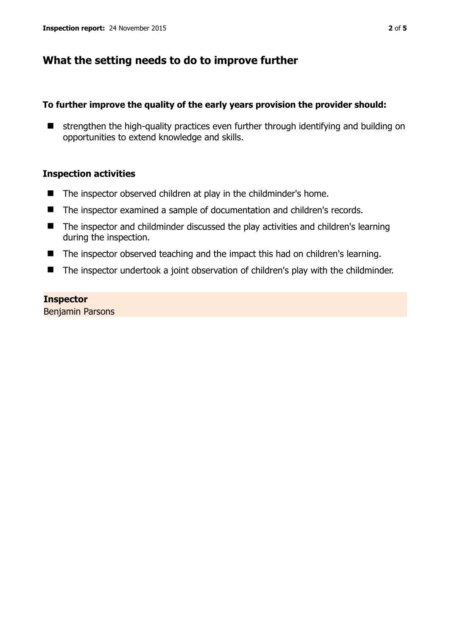## **What the setting needs to do to improve further**

## **To further improve the quality of the early years provision the provider should:**

 $\blacksquare$  strengthen the high-quality practices even further through identifying and building on opportunities to extend knowledge and skills.

## **Inspection activities**

- The inspector observed children at play in the childminder's home.
- The inspector examined a sample of documentation and children's records.
- The inspector and childminder discussed the play activities and children's learning during the inspection.
- The inspector observed teaching and the impact this had on children's learning.
- The inspector undertook a joint observation of children's play with the childminder.

## **Inspector**

Benjamin Parsons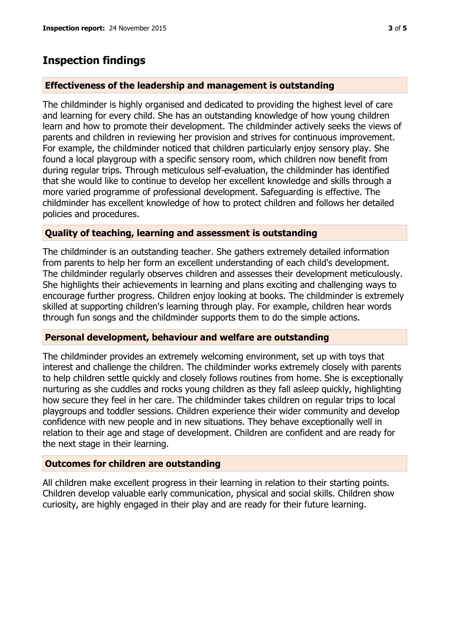## **Inspection findings**

#### **Effectiveness of the leadership and management is outstanding**

The childminder is highly organised and dedicated to providing the highest level of care and learning for every child. She has an outstanding knowledge of how young children learn and how to promote their development. The childminder actively seeks the views of parents and children in reviewing her provision and strives for continuous improvement. For example, the childminder noticed that children particularly enjoy sensory play. She found a local playgroup with a specific sensory room, which children now benefit from during regular trips. Through meticulous self-evaluation, the childminder has identified that she would like to continue to develop her excellent knowledge and skills through a more varied programme of professional development. Safeguarding is effective. The childminder has excellent knowledge of how to protect children and follows her detailed policies and procedures.

### **Quality of teaching, learning and assessment is outstanding**

The childminder is an outstanding teacher. She gathers extremely detailed information from parents to help her form an excellent understanding of each child's development. The childminder regularly observes children and assesses their development meticulously. She highlights their achievements in learning and plans exciting and challenging ways to encourage further progress. Children enjoy looking at books. The childminder is extremely skilled at supporting children's learning through play. For example, children hear words through fun songs and the childminder supports them to do the simple actions.

## **Personal development, behaviour and welfare are outstanding**

The childminder provides an extremely welcoming environment, set up with toys that interest and challenge the children. The childminder works extremely closely with parents to help children settle quickly and closely follows routines from home. She is exceptionally nurturing as she cuddles and rocks young children as they fall asleep quickly, highlighting how secure they feel in her care. The childminder takes children on regular trips to local playgroups and toddler sessions. Children experience their wider community and develop confidence with new people and in new situations. They behave exceptionally well in relation to their age and stage of development. Children are confident and are ready for the next stage in their learning.

#### **Outcomes for children are outstanding**

All children make excellent progress in their learning in relation to their starting points. Children develop valuable early communication, physical and social skills. Children show curiosity, are highly engaged in their play and are ready for their future learning.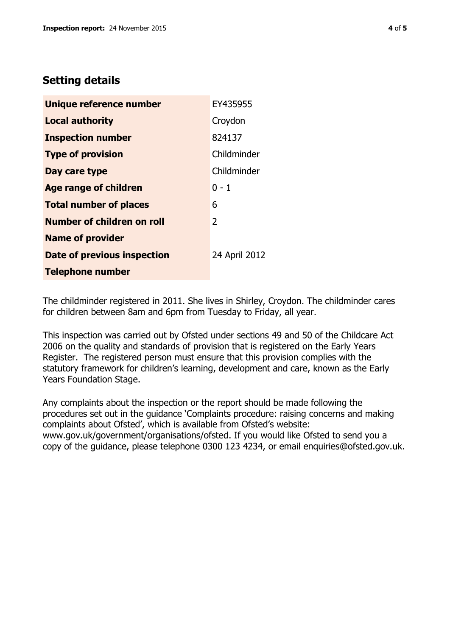# **Setting details**

| Unique reference number       | EY435955       |
|-------------------------------|----------------|
| <b>Local authority</b>        | Croydon        |
| <b>Inspection number</b>      | 824137         |
| <b>Type of provision</b>      | Childminder    |
| Day care type                 | Childminder    |
| <b>Age range of children</b>  | $0 - 1$        |
| <b>Total number of places</b> | 6              |
| Number of children on roll    | $\overline{2}$ |
| <b>Name of provider</b>       |                |
| Date of previous inspection   | 24 April 2012  |
| <b>Telephone number</b>       |                |

The childminder registered in 2011. She lives in Shirley, Croydon. The childminder cares for children between 8am and 6pm from Tuesday to Friday, all year.

This inspection was carried out by Ofsted under sections 49 and 50 of the Childcare Act 2006 on the quality and standards of provision that is registered on the Early Years Register. The registered person must ensure that this provision complies with the statutory framework for children's learning, development and care, known as the Early Years Foundation Stage.

Any complaints about the inspection or the report should be made following the procedures set out in the guidance 'Complaints procedure: raising concerns and making complaints about Ofsted', which is available from Ofsted's website: www.gov.uk/government/organisations/ofsted. If you would like Ofsted to send you a copy of the guidance, please telephone 0300 123 4234, or email enquiries@ofsted.gov.uk.